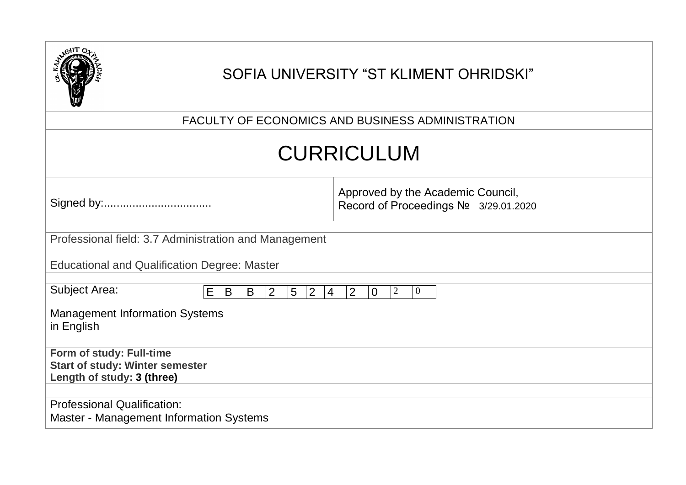|                                                                                                  | SOFIA UNIVERSITY "ST KLIMENT OHRIDSKI"                                     |
|--------------------------------------------------------------------------------------------------|----------------------------------------------------------------------------|
|                                                                                                  | FACULTY OF ECONOMICS AND BUSINESS ADMINISTRATION                           |
|                                                                                                  | <b>CURRICULUM</b>                                                          |
|                                                                                                  | Approved by the Academic Council,<br>Record of Proceedings Nº 3/29.01.2020 |
| Professional field: 3.7 Administration and Management                                            |                                                                            |
| <b>Educational and Qualification Degree: Master</b>                                              |                                                                            |
| <b>Subject Area:</b><br>E B<br>$\overline{5}$<br>$ 2\rangle$<br>$\overline{2}$<br>B              | 2 <br>$\mathbf{0}$<br>$\overline{2}$<br>$\overline{0}$<br>$\overline{4}$   |
| <b>Management Information Systems</b><br>in English                                              |                                                                            |
|                                                                                                  |                                                                            |
| Form of study: Full-time<br><b>Start of study: Winter semester</b><br>Length of study: 3 (three) |                                                                            |
| <b>Professional Qualification:</b><br><b>Master - Management Information Systems</b>             |                                                                            |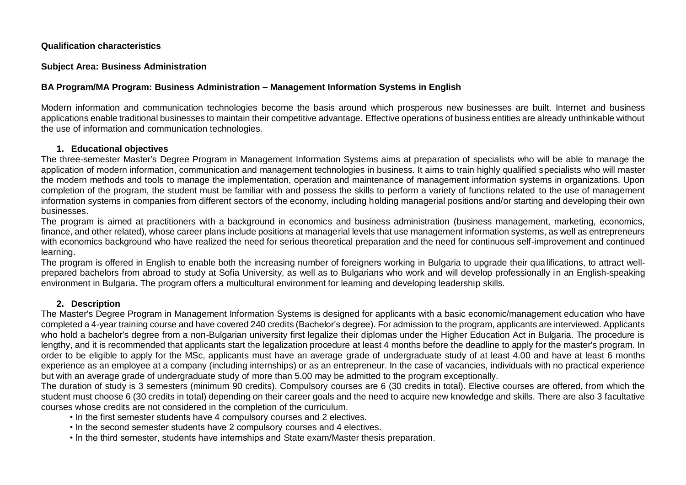#### **Qualification characteristics**

#### **Subject Area: Business Administration**

#### **BA Program/MA Program: Business Administration – Management Information Systems in English**

Modern information and communication technologies become the basis around which prosperous new businesses are built. Internet and business applications enable traditional businesses to maintain their competitive advantage. Effective operations of business entities are already unthinkable without the use of information and communication technologies.

#### **1. Educational objectives**

The three-semester Master's Degree Program in Management Information Systems aims at preparation of specialists who will be able to manage the application of modern information, communication and management technologies in business. It aims to train highly qualified specialists who will master the modern methods and tools to manage the implementation, operation and maintenance of management information systems in organizations. Upon completion of the program, the student must be familiar with and possess the skills to perform a variety of functions related to the use of management information systems in companies from different sectors of the economy, including holding managerial positions and/or starting and developing their own businesses.

The program is aimed at practitioners with a background in economics and business administration (business management, marketing, economics, finance, and other related), whose career plans include positions at managerial levels that use management information systems, as well as entrepreneurs with economics background who have realized the need for serious theoretical preparation and the need for continuous self-improvement and continued learning.

The program is offered in English to enable both the increasing number of foreigners working in Bulgaria to upgrade their qualifications, to attract wellprepared bachelors from abroad to study at Sofia University, as well as to Bulgarians who work and will develop professionally in an English-speaking environment in Bulgaria. The program offers a multicultural environment for learning and developing leadership skills.

#### **2. Description**

The Master's Degree Program in Management Information Systems is designed for applicants with a basic economic/management education who have completed a 4-year training course and have covered 240 credits (Bachelor's degree). For admission to the program, applicants are interviewed. Applicants who hold a bachelor's degree from a non-Bulgarian university first legalize their diplomas under the Higher Education Act in Bulgaria. The procedure is lengthy, and it is recommended that applicants start the legalization procedure at least 4 months before the deadline to apply for the master's program. In order to be eligible to apply for the MSc, applicants must have an average grade of undergraduate study of at least 4.00 and have at least 6 months experience as an employee at a company (including internships) or as an entrepreneur. In the case of vacancies, individuals with no practical experience but with an average grade of undergraduate study of more than 5.00 may be admitted to the program exceptionally.

The duration of study is 3 semesters (minimum 90 credits). Compulsory courses are 6 (30 credits in total). Elective courses are offered, from which the student must choose 6 (30 credits in total) depending on their career goals and the need to acquire new knowledge and skills. There are also 3 facultative courses whose credits are not considered in the completion of the curriculum.

- In the first semester students have 4 compulsory courses and 2 electives.
- In the second semester students have 2 compulsory courses and 4 electives.
- In the third semester, students have internships and State exam/Master thesis preparation.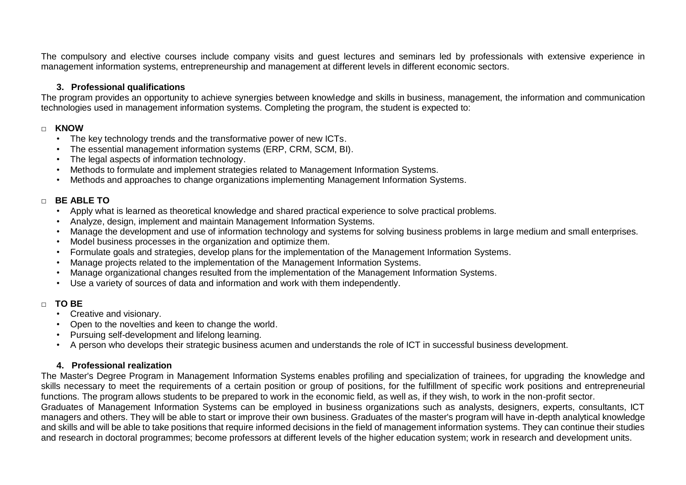The compulsory and elective courses include company visits and guest lectures and seminars led by professionals with extensive experience in management information systems, entrepreneurship and management at different levels in different economic sectors.

#### **3. Professional qualifications**

The program provides an opportunity to achieve synergies between knowledge and skills in business, management, the information and communication technologies used in management information systems. Completing the program, the student is expected to:

#### **□ KNOW**

- The key technology trends and the transformative power of new ICTs.
- The essential management information systems (ERP, CRM, SCM, BI).
- The legal aspects of information technology.
- Methods to formulate and implement strategies related to Management Information Systems.
- Methods and approaches to change organizations implementing Management Information Systems.

#### **□ BE ABLE TO**

- Apply what is learned as theoretical knowledge and shared practical experience to solve practical problems.
- Analyze, design, implement and maintain Management Information Systems.
- Manage the development and use of information technology and systems for solving business problems in large medium and small enterprises.
- Model business processes in the organization and optimize them.
- Formulate goals and strategies, develop plans for the implementation of the Management Information Systems.
- Manage projects related to the implementation of the Management Information Systems.
- Manage organizational changes resulted from the implementation of the Management Information Systems.
- Use a variety of sources of data and information and work with them independently.

#### **□ TO BE**

- Creative and visionary.
- Open to the novelties and keen to change the world.
- Pursuing self-development and lifelong learning.
- A person who develops their strategic business acumen and understands the role of ICT in successful business development.

#### **4. Professional realization**

The Master's Degree Program in Management Information Systems enables profiling and specialization of trainees, for upgrading the knowledge and skills necessary to meet the requirements of a certain position or group of positions, for the fulfillment of specific work positions and entrepreneurial functions. The program allows students to be prepared to work in the economic field, as well as, if they wish, to work in the non-profit sector.

Graduates of Management Information Systems can be employed in business organizations such as analysts, designers, experts, consultants, ICT managers and others. They will be able to start or improve their own business. Graduates of the master's program will have in-depth analytical knowledge and skills and will be able to take positions that require informed decisions in the field of management information systems. They can continue their studies and research in doctoral programmes; become professors at different levels of the higher education system; work in research and development units.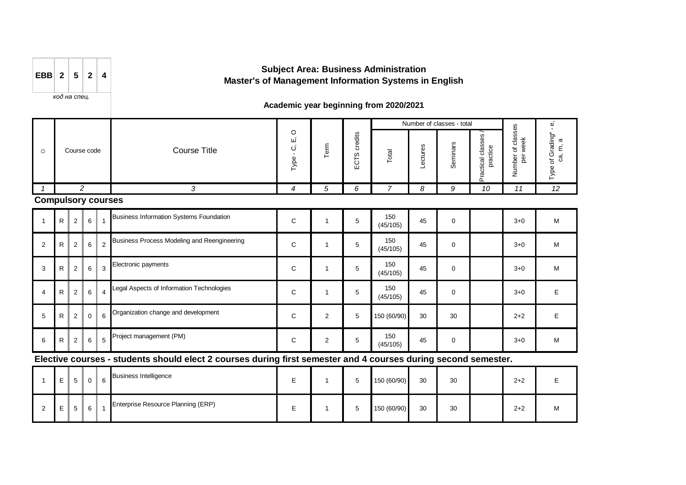| EBB 2<br>$5\overline{5}$<br>$-2$ |  |
|----------------------------------|--|
|----------------------------------|--|

#### *код на спец.*

## **Subject Area: Business Administration Master's of Management Information Systems in English**

### **Academic year beginning from 2020/2021**

|                           |              |                               |             |                |                                                                                                                |                           |                |              |                 |          | Number of classes - total |                               |                                       | Φ<br>$\blacksquare$             |
|---------------------------|--------------|-------------------------------|-------------|----------------|----------------------------------------------------------------------------------------------------------------|---------------------------|----------------|--------------|-----------------|----------|---------------------------|-------------------------------|---------------------------------------|---------------------------------|
|                           |              | Course code<br>$\overline{2}$ |             |                | <b>Course Title</b>                                                                                            | $\circ$<br>щ<br>ن<br>Type | Term           | ECTS credits | Total           | Lectures | Seminars                  | Practical classes<br>practice | Number of classes<br>week<br>ber<br>D | of Grading*<br>ca, m, a<br>Type |
|                           |              |                               |             |                | 3                                                                                                              | 4                         | 5              | 6            | 7               | 8        | 9                         | 10                            | 11                                    | 12                              |
| <b>Compulsory courses</b> |              |                               |             |                |                                                                                                                |                           |                |              |                 |          |                           |                               |                                       |                                 |
|                           | R            | 2                             | 6           |                | <b>Business Information Systems Foundation</b>                                                                 | C                         | 1              | 5            | 150<br>(45/105) | 45       | $\mathbf 0$               |                               | $3 + 0$                               | M                               |
| 2                         | R.           | 2                             | $\,6\,$     | $\overline{2}$ | Business Process Modeling and Reengineering                                                                    | C                         |                | 5            | 150<br>(45/105) | 45       | 0                         |                               | $3+0$                                 | M                               |
| 3                         | R            | 2                             | 6           | 3              | Electronic payments                                                                                            | C                         |                | 5            | 150<br>(45/105) | 45       | 0                         |                               | $3 + 0$                               | M                               |
| $\overline{4}$            | $\mathsf{R}$ | 2                             | 6           | $\overline{4}$ | Legal Aspects of Information Technologies                                                                      | C                         |                | 5            | 150<br>(45/105) | 45       | $\mathbf 0$               |                               | $3+0$                                 | E                               |
| 5                         | R.           | $\overline{2}$                | $\mathbf 0$ | 6              | Organization change and development                                                                            | C                         | 2              | 5            | 150 (60/90)     | 30       | 30                        |                               | $2 + 2$                               | E                               |
| 6                         | R            | $\overline{c}$                | $\,6\,$     | 5              | Project management (PM)                                                                                        | C                         | $\overline{2}$ | 5            | 150<br>(45/105) | 45       | 0                         |                               | $3 + 0$                               | M                               |
|                           |              |                               |             |                | Elective courses - students should elect 2 courses during first semester and 4 courses during second semester. |                           |                |              |                 |          |                           |                               |                                       |                                 |
|                           |              |                               |             |                | <b>Puginega Intelligence</b>                                                                                   |                           |                |              |                 |          |                           |                               |                                       |                                 |

| E | $5\overline{)}$ | $\mathbf 0$ | <b>Business Intelligence</b>       | – |  | 150 (60/90) | 30 | 30 | $2 + 2$ |   |
|---|-----------------|-------------|------------------------------------|---|--|-------------|----|----|---------|---|
| E | 5 <sup>1</sup>  | 6           | Enterprise Resource Planning (ERP) |   |  | 150 (60/90) | 30 | 30 | $2 + 2$ | M |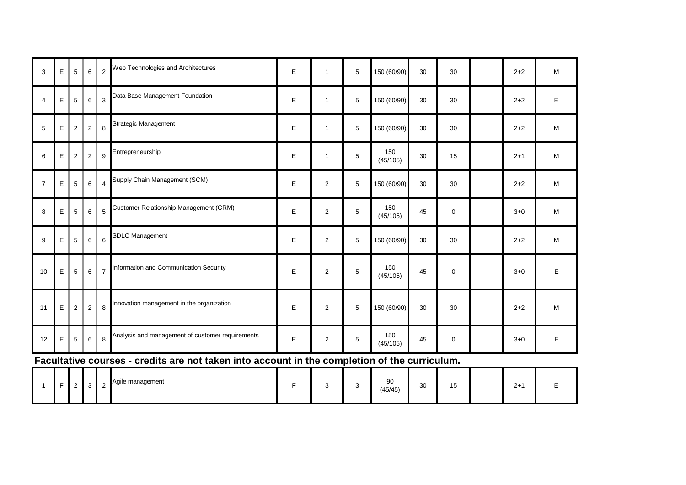| 3              | E | 5              | 6          | $\overline{2}$          | Web Technologies and Architectures                                                                                                               | Е | 1              | 5           | 150 (60/90)     | 30 | 30          | $2 + 2$ | ${\sf M}$                                                                             |
|----------------|---|----------------|------------|-------------------------|--------------------------------------------------------------------------------------------------------------------------------------------------|---|----------------|-------------|-----------------|----|-------------|---------|---------------------------------------------------------------------------------------|
| $\overline{4}$ | E | 5              | $\,6$      | 3                       | Data Base Management Foundation                                                                                                                  | E | $\mathbf{1}$   | 5           | 150 (60/90)     | 30 | 30          | $2 + 2$ | $\mathsf E$                                                                           |
| 5              | E | $\sqrt{2}$     | $\sqrt{2}$ | 8                       | Strategic Management                                                                                                                             | E | 1              | 5           | 150 (60/90)     | 30 | 30          | $2 + 2$ | M                                                                                     |
| 6              | E | $\sqrt{2}$     | $\sqrt{2}$ | 9                       | Entrepreneurship                                                                                                                                 | E | $\mathbf{1}$   | $\mathbf 5$ | 150<br>(45/105) | 30 | 15          | $2 + 1$ | $\mathsf{M}% _{T}=\mathsf{M}_{T}\!\left( a,b\right) ,\ \mathsf{M}_{T}=\mathsf{M}_{T}$ |
| $\overline{7}$ | E | 5              | 6          | $\overline{\mathbf{4}}$ | Supply Chain Management (SCM)                                                                                                                    | E | 2              | 5           | 150 (60/90)     | 30 | 30          | $2 + 2$ | M                                                                                     |
| 8              | E | 5              | 6          | 5                       | Customer Relationship Management (CRM)                                                                                                           | E | $\overline{c}$ | 5           | 150<br>(45/105) | 45 | 0           | $3 + 0$ | M                                                                                     |
| 9              | E | 5              | 6          | 6                       | <b>SDLC Management</b>                                                                                                                           | E | $\overline{2}$ | 5           | 150 (60/90)     | 30 | 30          | $2 + 2$ | $\mathsf{M}% _{T}=\mathsf{M}_{T}\!\left( a,b\right) ,\ \mathsf{M}_{T}=\mathsf{M}_{T}$ |
| 10             | E | $\sqrt{5}$     | 6          | $\overline{7}$          | Information and Communication Security                                                                                                           | E | $\overline{2}$ | 5           | 150<br>(45/105) | 45 | $\mathbf 0$ | $3 + 0$ | E.                                                                                    |
| 11             | E | $\overline{2}$ | $\sqrt{2}$ | $\,8\,$                 | Innovation management in the organization                                                                                                        | E | $\overline{2}$ | 5           | 150 (60/90)     | 30 | 30          | $2 + 2$ | $\mathsf{M}% _{T}=\mathsf{M}_{T}\!\left( a,b\right) ,\ \mathsf{M}_{T}=\mathsf{M}_{T}$ |
| 12             | E | 5              | $\,6\,$    | 8                       | Analysis and management of customer requirements<br>Equilibrius courses - exalito are not taken into coosunt in the completion of the curriculum | E | $\overline{2}$ | $\mathbf 5$ | 150<br>(45/105) | 45 | 0           | $3 + 0$ | E.                                                                                    |

**Facultative courses - credits are not taken into account in the completion of the curriculum.**

|  | $\overline{\phantom{a}}$ | <u>_</u> | ີ |  | Agile management |  |  |  | 90<br>(45/45) | 30 | $\overline{a}$<br>. ט |  | ົ່<br>-4 |  |
|--|--------------------------|----------|---|--|------------------|--|--|--|---------------|----|-----------------------|--|----------|--|
|--|--------------------------|----------|---|--|------------------|--|--|--|---------------|----|-----------------------|--|----------|--|